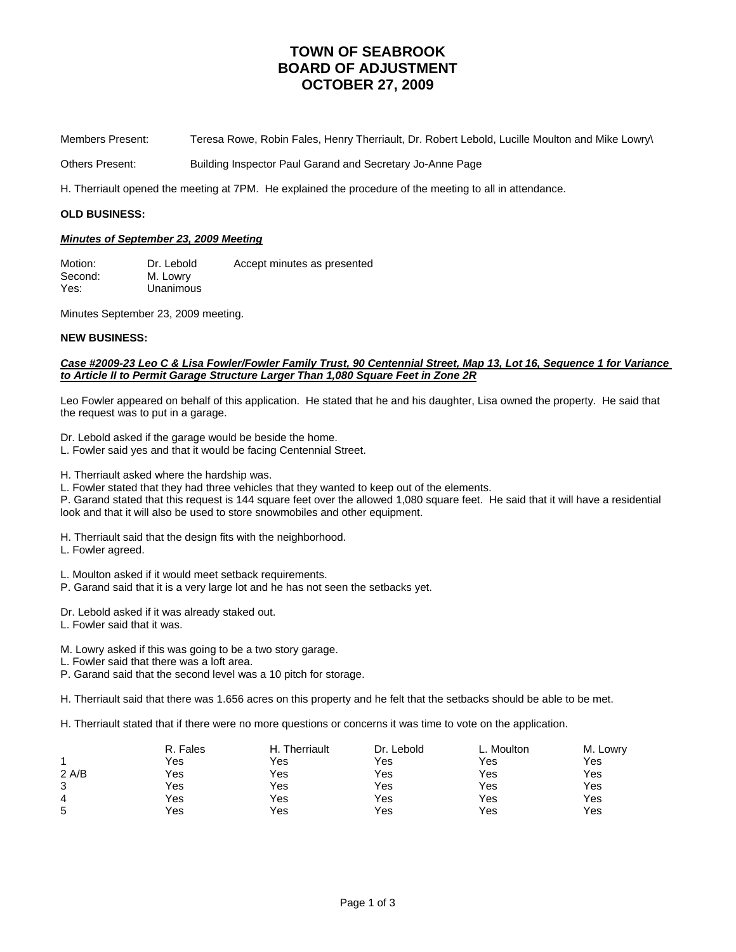# **TOWN OF SEABROOK BOARD OF ADJUSTMENT OCTOBER 27, 2009**

Members Present: Teresa Rowe, Robin Fales, Henry Therriault, Dr. Robert Lebold, Lucille Moulton and Mike Lowry\

Others Present: Building Inspector Paul Garand and Secretary Jo-Anne Page

H. Therriault opened the meeting at 7PM. He explained the procedure of the meeting to all in attendance.

#### **OLD BUSINESS:**

### *Minutes of September 23, 2009 Meeting*

Motion: Dr. Lebold Accept minutes as presented Second: M. Lowry Yes: Unanimous

Minutes September 23, 2009 meeting.

### **NEW BUSINESS:**

### *Case #2009-23 Leo C & Lisa Fowler/Fowler Family Trust, 90 Centennial Street, Map 13, Lot 16, Sequence 1 for Variance to Article II to Permit Garage Structure Larger Than 1,080 Square Feet in Zone 2R*

Leo Fowler appeared on behalf of this application. He stated that he and his daughter, Lisa owned the property. He said that the request was to put in a garage.

Dr. Lebold asked if the garage would be beside the home.

L. Fowler said yes and that it would be facing Centennial Street.

H. Therriault asked where the hardship was.

L. Fowler stated that they had three vehicles that they wanted to keep out of the elements.

P. Garand stated that this request is 144 square feet over the allowed 1,080 square feet. He said that it will have a residential look and that it will also be used to store snowmobiles and other equipment.

H. Therriault said that the design fits with the neighborhood.

L. Fowler agreed.

L. Moulton asked if it would meet setback requirements.

P. Garand said that it is a very large lot and he has not seen the setbacks yet.

Dr. Lebold asked if it was already staked out.

L. Fowler said that it was.

M. Lowry asked if this was going to be a two story garage.

L. Fowler said that there was a loft area.

P. Garand said that the second level was a 10 pitch for storage.

H. Therriault said that there was 1.656 acres on this property and he felt that the setbacks should be able to be met.

H. Therriault stated that if there were no more questions or concerns it was time to vote on the application.

|       | R. Fales | H. Therriault | Dr. Lebold | L. Moulton | M. Lowry |
|-------|----------|---------------|------------|------------|----------|
|       | Yes      | Yes           | Yes        | Yes        | Yes      |
| 2 A/B | Yes      | Yes           | Yes        | Yes        | Yes      |
| 3     | Yes      | Yes           | Yes        | Yes        | Yes      |
| 4     | Yes      | Yes           | Yes        | Yes        | Yes      |
| 5     | Yes      | Yes           | Yes        | Yes        | Yes      |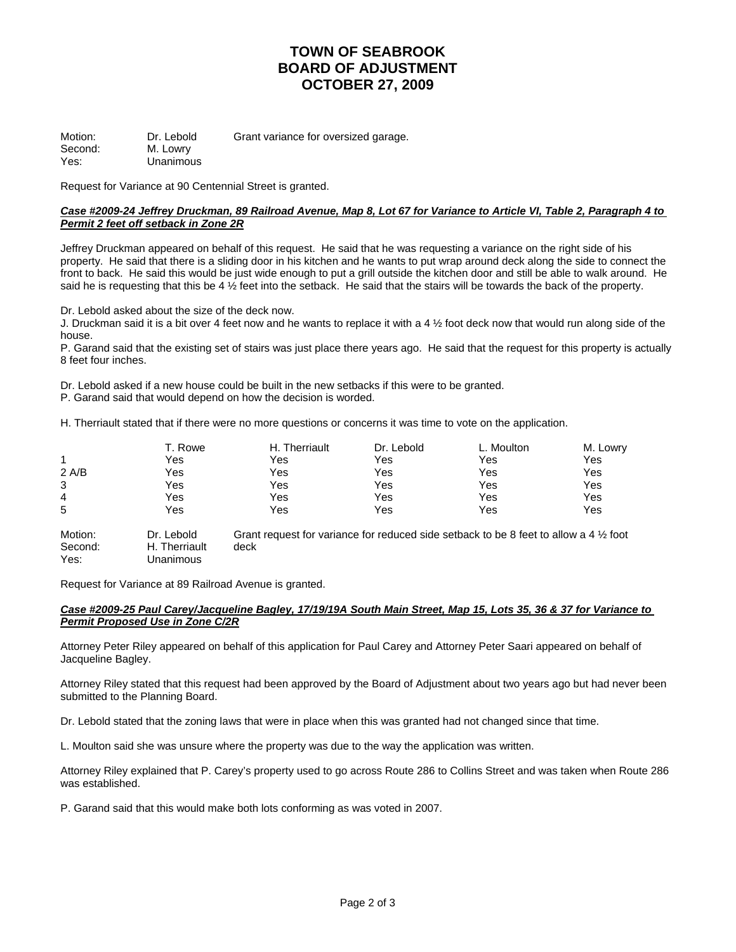# **TOWN OF SEABROOK BOARD OF ADJUSTMENT OCTOBER 27, 2009**

Motion: Dr. Lebold Grant variance for oversized garage. Second: M. Lowry Yes: Unanimous

Request for Variance at 90 Centennial Street is granted.

### *Case #2009-24 Jeffrey Druckman, 89 Railroad Avenue, Map 8, Lot 67 for Variance to Article VI, Table 2, Paragraph 4 to Permit 2 feet off setback in Zone 2R*

Jeffrey Druckman appeared on behalf of this request. He said that he was requesting a variance on the right side of his property. He said that there is a sliding door in his kitchen and he wants to put wrap around deck along the side to connect the front to back. He said this would be just wide enough to put a grill outside the kitchen door and still be able to walk around. He said he is requesting that this be 4  $\frac{1}{2}$  feet into the setback. He said that the stairs will be towards the back of the property.

Dr. Lebold asked about the size of the deck now.

J. Druckman said it is a bit over 4 feet now and he wants to replace it with a 4 ½ foot deck now that would run along side of the house.

P. Garand said that the existing set of stairs was just place there years ago. He said that the request for this property is actually 8 feet four inches.

Dr. Lebold asked if a new house could be built in the new setbacks if this were to be granted.

P. Garand said that would depend on how the decision is worded.

H. Therriault stated that if there were no more questions or concerns it was time to vote on the application.

|       | T. Rowe | H. Therriault | Dr. Lebold | L. Moulton | M. Lowry |
|-------|---------|---------------|------------|------------|----------|
|       | Yes     | Yes           | Yes        | Yes        | Yes      |
| 2 A/B | Yes     | Yes           | Yes        | Yes        | Yes      |
| 3     | Yes     | Yes           | Yes        | Yes        | Yes      |
| 4     | Yes     | Yes           | Yes        | Yes        | Yes      |
| 5     | Yes     | Yes           | Yes        | Yes        | Yes      |
|       |         |               |            |            |          |

Motion: Dr. Lebold Grant request for variance for reduced side setback to be 8 feet to allow a 4 1/2 foot Second: H. Therriault deck Yes: Unanimous

Request for Variance at 89 Railroad Avenue is granted.

### *Case #2009-25 Paul Carey/Jacqueline Bagley, 17/19/19A South Main Street, Map 15, Lots 35, 36 & 37 for Variance to Permit Proposed Use in Zone C/2R*

Attorney Peter Riley appeared on behalf of this application for Paul Carey and Attorney Peter Saari appeared on behalf of Jacqueline Bagley.

Attorney Riley stated that this request had been approved by the Board of Adjustment about two years ago but had never been submitted to the Planning Board.

Dr. Lebold stated that the zoning laws that were in place when this was granted had not changed since that time.

L. Moulton said she was unsure where the property was due to the way the application was written.

Attorney Riley explained that P. Carey's property used to go across Route 286 to Collins Street and was taken when Route 286 was established.

P. Garand said that this would make both lots conforming as was voted in 2007.